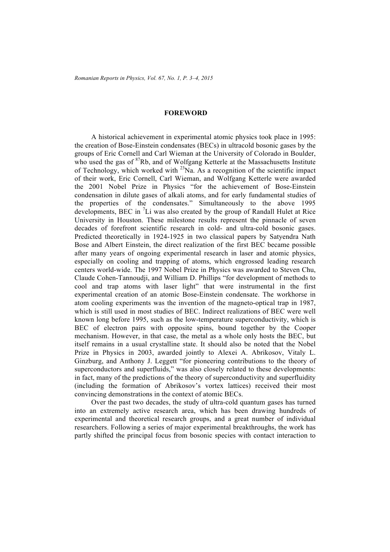## **FOREWORD**

A historical achievement in experimental atomic physics took place in 1995: the creation of Bose-Einstein condensates (BECs) in ultracold bosonic gases by the groups of Eric Cornell and Carl Wieman at the University of Colorado in Boulder, who used the gas of <sup>87</sup>Rb, and of Wolfgang Ketterle at the Massachusetts Institute of Technology, which worked with  $^{23}$ Na. As a recognition of the scientific impact of their work, Eric Cornell, Carl Wieman, and Wolfgang Ketterle were awarded the 2001 Nobel Prize in Physics "for the achievement of Bose-Einstein condensation in dilute gases of alkali atoms, and for early fundamental studies of the properties of the condensates." Simultaneously to the above 1995 developments, BEC in  ${}^{7}$ Li was also created by the group of Randall Hulet at Rice University in Houston. These milestone results represent the pinnacle of seven decades of forefront scientific research in cold- and ultra-cold bosonic gases. Predicted theoretically in 1924-1925 in two classical papers by Satyendra Nath Bose and Albert Einstein, the direct realization of the first BEC became possible after many years of ongoing experimental research in laser and atomic physics, especially on cooling and trapping of atoms, which engrossed leading research centers world-wide. The 1997 Nobel Prize in Physics was awarded to Steven Chu, Claude Cohen-Tannoudji, and William D. Phillips "for development of methods to cool and trap atoms with laser light" that were instrumental in the first experimental creation of an atomic Bose-Einstein condensate. The workhorse in atom cooling experiments was the invention of the magneto-optical trap in 1987, which is still used in most studies of BEC. Indirect realizations of BEC were well known long before 1995, such as the low-temperature superconductivity, which is BEC of electron pairs with opposite spins, bound together by the Cooper mechanism. However, in that case, the metal as a whole only hosts the BEC, but itself remains in a usual crystalline state. It should also be noted that the Nobel Prize in Physics in 2003, awarded jointly to Alexei A. Abrikosov, Vitaly L. Ginzburg, and Anthony J. Leggett "for pioneering contributions to the theory of superconductors and superfluids," was also closely related to these developments: in fact, many of the predictions of the theory of superconductivity and superfluidity (including the formation of Abrikosov's vortex lattices) received their most convincing demonstrations in the context of atomic BECs.

Over the past two decades, the study of ultra-cold quantum gases has turned into an extremely active research area, which has been drawing hundreds of experimental and theoretical research groups, and a great number of individual researchers. Following a series of major experimental breakthroughs, the work has partly shifted the principal focus from bosonic species with contact interaction to